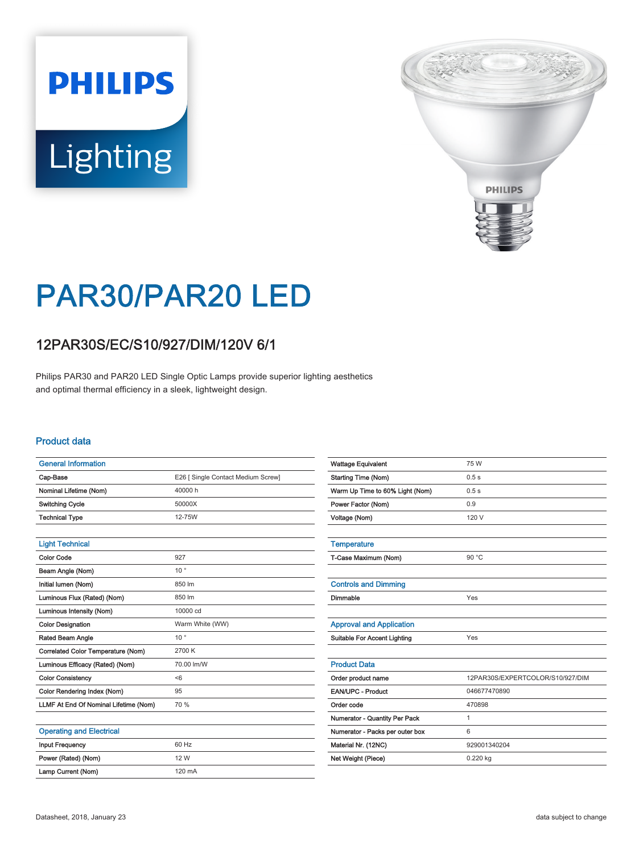# **PHILIPS** Lighting



# PAR30/PAR20 LED

## 12PAR30S/EC/S10/927/DIM/120V 6/1

Philips PAR30 and PAR20 LED Single Optic Lamps provide superior lighting aesthetics and optimal thermal efficiency in a sleek, lightweight design.

#### Product data

| <b>General Information</b>            |                                    |
|---------------------------------------|------------------------------------|
| Cap-Base                              | E26 [ Single Contact Medium Screw] |
| Nominal Lifetime (Nom)                | 40000h                             |
| <b>Switching Cycle</b>                | 50000X                             |
| <b>Technical Type</b>                 | 12-75W                             |
|                                       |                                    |
| <b>Light Technical</b>                |                                    |
| Color Code                            | 927                                |
| Beam Angle (Nom)                      | $10^{\circ}$                       |
| Initial lumen (Nom)                   | 850 lm                             |
| Luminous Flux (Rated) (Nom)           | 850 lm                             |
| Luminous Intensity (Nom)              | 10000 cd                           |
| <b>Color Designation</b>              | Warm White (WW)                    |
| Rated Beam Angle                      | $10^{\circ}$                       |
| Correlated Color Temperature (Nom)    | 2700 K                             |
| Luminous Efficacy (Rated) (Nom)       | 70.00 lm/W                         |
| <b>Color Consistency</b>              | < 6                                |
| Color Rendering Index (Nom)           | 95                                 |
| LLMF At End Of Nominal Lifetime (Nom) | 70 %                               |
|                                       |                                    |
| <b>Operating and Electrical</b>       |                                    |
| <b>Input Frequency</b>                | 60 Hz                              |
| Power (Rated) (Nom)                   | 12 W                               |

| <b>Wattage Equivalent</b>           | 75 W                             |
|-------------------------------------|----------------------------------|
| <b>Starting Time (Nom)</b>          | 0.5s                             |
| Warm Up Time to 60% Light (Nom)     | 0.5s                             |
| Power Factor (Nom)                  | 0.9                              |
| Voltage (Nom)                       | 120 V                            |
|                                     |                                  |
| <b>Temperature</b>                  |                                  |
| T-Case Maximum (Nom)                | 90 °C                            |
|                                     |                                  |
| <b>Controls and Dimming</b>         |                                  |
| Dimmable                            | Yes                              |
|                                     |                                  |
| <b>Approval and Application</b>     |                                  |
| <b>Suitable For Accent Lighting</b> | Yes                              |
|                                     |                                  |
| <b>Product Data</b>                 |                                  |
| Order product name                  | 12PAR30S/EXPERTCOLOR/S10/927/DIM |
| EAN/UPC - Product                   | 046677470890                     |
| Order code                          | 470898                           |
| Numerator - Quantity Per Pack       | 1                                |
| Numerator - Packs per outer box     | 6                                |
| Material Nr. (12NC)                 | 929001340204                     |
| Net Weight (Piece)                  | 0.220 kg                         |
|                                     |                                  |

Lamp Current (Nom) 120 mA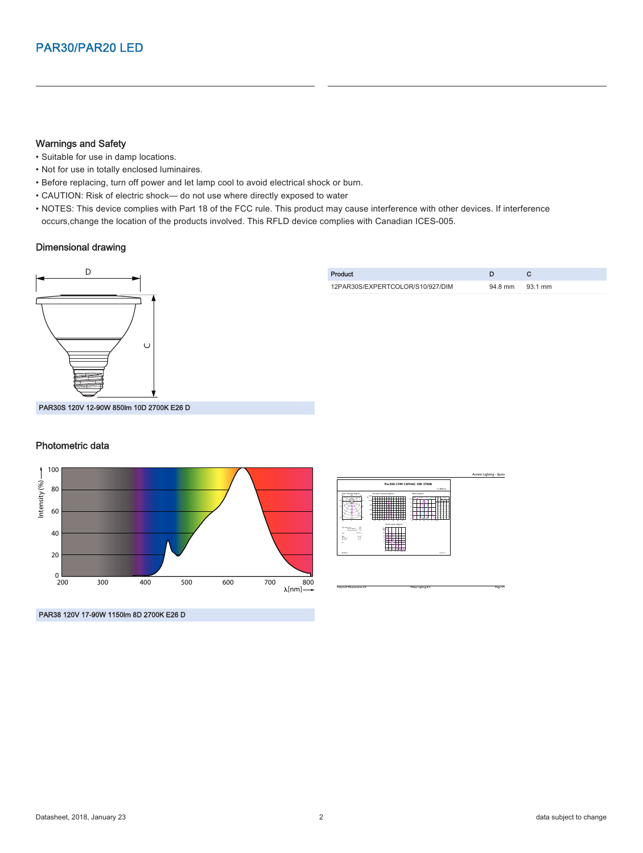#### Warnings and Safety

- Suitable for use in damp locations.
- Not for use in totally enclosed luminaires.
- Before replacing, turn off power and let lamp cool to avoid electrical shock or burn.
- CAUTION: Risk of electric shock— do not use where directly exposed to water
- NOTES: This device complies with Part 18 of the FCC rule. This product may cause interference with other devices. If interference occurs,change the location of the products involved. This RFLD device complies with Canadian ICES-005.

#### Dimensional drawing



#### Photometric data





CalcuLuX Photometrics 4.5 Philips Lighting B.V. Page: 1/1

PAR38 120V 17-90W 1150lm 8D 2700K E26 D